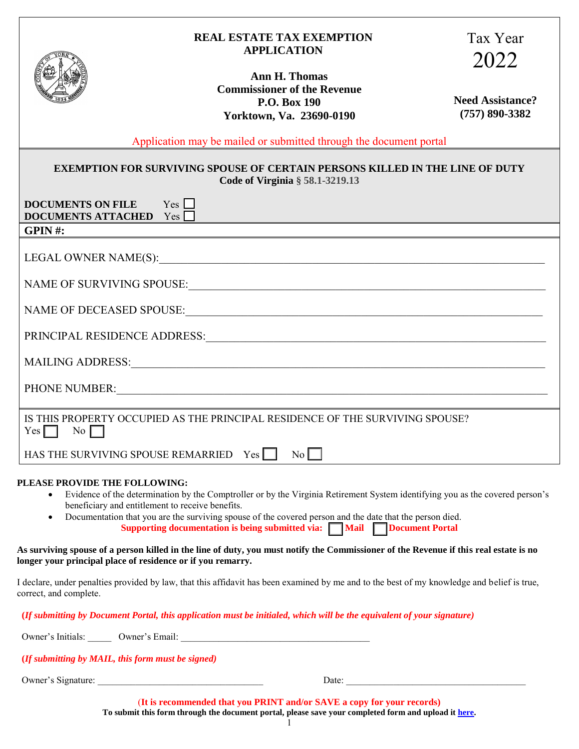|                                                          | <b>REAL ESTATE TAX EXEMPTION</b>                                                                                                                                                                                               | Tax Year                                      |  |
|----------------------------------------------------------|--------------------------------------------------------------------------------------------------------------------------------------------------------------------------------------------------------------------------------|-----------------------------------------------|--|
|                                                          | <b>APPLICATION</b>                                                                                                                                                                                                             | 2022                                          |  |
|                                                          | Ann H. Thomas<br><b>Commissioner of the Revenue</b><br>P.O. Box 190<br>Yorktown, Va. 23690-0190                                                                                                                                | <b>Need Assistance?</b><br>$(757) 890 - 3382$ |  |
|                                                          | Application may be mailed or submitted through the document portal                                                                                                                                                             |                                               |  |
|                                                          | <b>EXEMPTION FOR SURVIVING SPOUSE OF CERTAIN PERSONS KILLED IN THE LINE OF DUTY</b><br>Code of Virginia § 58.1-3219.13                                                                                                         |                                               |  |
| DOCUMENTS ON FILE $Yes$<br><b>DOCUMENTS ATTACHED</b> Yes | and the control of the control of the control of the control of the control of the control of the control of the                                                                                                               |                                               |  |
| GPIN#:                                                   |                                                                                                                                                                                                                                |                                               |  |
|                                                          |                                                                                                                                                                                                                                |                                               |  |
| NAME OF SURVIVING SPOUSE:                                |                                                                                                                                                                                                                                |                                               |  |
|                                                          |                                                                                                                                                                                                                                |                                               |  |
|                                                          |                                                                                                                                                                                                                                |                                               |  |
|                                                          |                                                                                                                                                                                                                                |                                               |  |
|                                                          | PHONE NUMBER: VALUE AND THE RESERVE AND THE RESERVE AND THE RESERVE AND THE RESERVE AND THE RESERVE AND THE RESERVE AND THE RESERVE AND THE RESERVE AND THE RESERVE AND THE RESERVE AND THE RESERVE AND THE RESERVE AND THE RE |                                               |  |
|                                                          |                                                                                                                                                                                                                                |                                               |  |
| $Yes \Box$<br>$\overline{N_0}$                           | IS THIS PROPERTY OCCUPIED AS THE PRINCIPAL RESIDENCE OF THE SURVIVING SPOUSE?                                                                                                                                                  |                                               |  |
| HAS THE SURVIVING SPOUSE REMARRIED Yes                   | $\overline{N_0 \cap}$                                                                                                                                                                                                          |                                               |  |
| PLEASE PROVIDE THE FOLLOWING:                            | Evidence of the determination by the Comptroller or by the Virginia Retirement System identifying you as the covered person's                                                                                                  |                                               |  |

- beneficiary and entitlement to receive benefits.
- Documentation that you are the surviving spouse of the covered person and the date that the person died. **Supporting documentation is being submitted via: Mail Document Portal**

**As surviving spouse of a person killed in the line of duty, you must notify the Commissioner of the Revenue if this real estate is no longer your principal place of residence or if you remarry.**

I declare, under penalties provided by law, that this affidavit has been examined by me and to the best of my knowledge and belief is true, correct, and complete.

 **(***If submitting by Document Portal, this application must be initialed, which will be the equivalent of your signature)*

Owner's Initials: \_\_\_\_\_ Owner's Email: \_\_\_\_\_\_\_\_\_\_\_\_\_\_\_\_\_\_\_\_\_\_\_\_\_\_\_\_\_\_\_\_\_\_\_\_\_\_\_\_

 **(***If submitting by MAIL, this form must be signed)*

Owner's Signature: \_\_\_\_\_\_\_\_\_\_\_\_\_\_\_\_\_\_\_\_\_\_\_\_\_\_\_\_\_\_\_\_\_\_\_ Date: \_\_\_\_\_\_\_\_\_\_\_\_\_\_\_\_\_\_\_\_\_\_\_\_\_\_\_\_\_\_\_\_\_\_\_\_\_\_

(**It is recommended that you PRINT and/or SAVE a copy for your records) To submit this form through the document portal, please save your completed form and upload it [here.](https://lfportal.yorkcounty.gov/forms/cor-correspondence)**